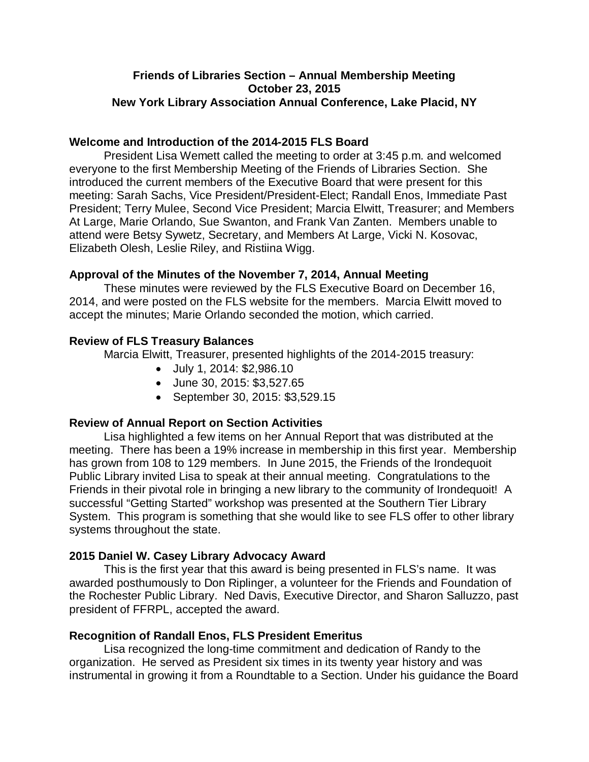# **Friends of Libraries Section – Annual Membership Meeting October 23, 2015 New York Library Association Annual Conference, Lake Placid, NY**

## **Welcome and Introduction of the 2014-2015 FLS Board**

President Lisa Wemett called the meeting to order at 3:45 p.m. and welcomed everyone to the first Membership Meeting of the Friends of Libraries Section. She introduced the current members of the Executive Board that were present for this meeting: Sarah Sachs, Vice President/President-Elect; Randall Enos, Immediate Past President; Terry Mulee, Second Vice President; Marcia Elwitt, Treasurer; and Members At Large, Marie Orlando, Sue Swanton, and Frank Van Zanten. Members unable to attend were Betsy Sywetz, Secretary, and Members At Large, Vicki N. Kosovac, Elizabeth Olesh, Leslie Riley, and Ristiina Wigg.

## **Approval of the Minutes of the November 7, 2014, Annual Meeting**

These minutes were reviewed by the FLS Executive Board on December 16, 2014, and were posted on the FLS website for the members. Marcia Elwitt moved to accept the minutes; Marie Orlando seconded the motion, which carried.

## **Review of FLS Treasury Balances**

Marcia Elwitt, Treasurer, presented highlights of the 2014-2015 treasury:

- July 1, 2014: \$2,986.10
- June 30, 2015: \$3,527.65
- September 30, 2015: \$3,529.15

## **Review of Annual Report on Section Activities**

Lisa highlighted a few items on her Annual Report that was distributed at the meeting. There has been a 19% increase in membership in this first year. Membership has grown from 108 to 129 members. In June 2015, the Friends of the Irondequoit Public Library invited Lisa to speak at their annual meeting. Congratulations to the Friends in their pivotal role in bringing a new library to the community of Irondequoit! A successful "Getting Started" workshop was presented at the Southern Tier Library System. This program is something that she would like to see FLS offer to other library systems throughout the state.

## **2015 Daniel W. Casey Library Advocacy Award**

This is the first year that this award is being presented in FLS's name. It was awarded posthumously to Don Riplinger, a volunteer for the Friends and Foundation of the Rochester Public Library. Ned Davis, Executive Director, and Sharon Salluzzo, past president of FFRPL, accepted the award.

## **Recognition of Randall Enos, FLS President Emeritus**

Lisa recognized the long-time commitment and dedication of Randy to the organization. He served as President six times in its twenty year history and was instrumental in growing it from a Roundtable to a Section. Under his guidance the Board